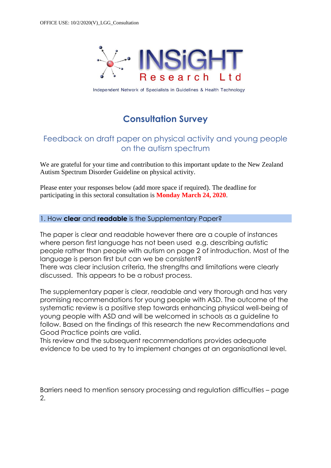

Independent Network of Specialists in Guidelines & Health Technology

# **Consultation Survey**

# Feedback on draft paper on physical activity and young people on the autism spectrum

We are grateful for your time and contribution to this important update to the New Zealand Autism Spectrum Disorder Guideline on physical activity.

Please enter your responses below (add more space if required). The deadline for participating in this sectoral consultation is **Monday March 24, 2020**.

### 1. How **clear** and **readable** is the Supplementary Paper?

The paper is clear and readable however there are a couple of instances where person first language has not been used e.g. describing autistic people rather than people with autism on page 2 of introduction. Most of the language is person first but can we be consistent? There was clear inclusion criteria, the strengths and limitations were clearly discussed. This appears to be a robust process.

The supplementary paper is clear, readable and very thorough and has very promising recommendations for young people with ASD. The outcome of the systematic review is a positive step towards enhancing physical well-being of young people with ASD and will be welcomed in schools as a guideline to follow. Based on the findings of this research the new Recommendations and Good Practice points are valid.

This review and the subsequent recommendations provides adequate evidence to be used to try to implement changes at an organisational level.

Barriers need to mention sensory processing and regulation difficulties – page 2.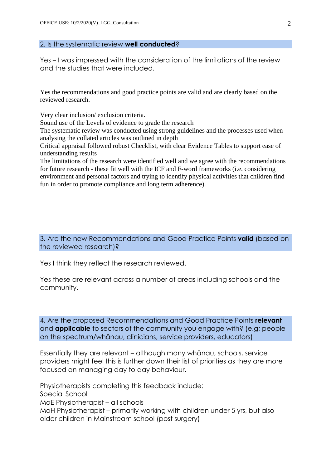#### 2. Is the systematic review **well conducted**?

Yes – I was impressed with the consideration of the limitations of the review and the studies that were included.

Yes the recommendations and good practice points are valid and are clearly based on the reviewed research.

Very clear inclusion/ exclusion criteria.

Sound use of the Levels of evidence to grade the research

The systematic review was conducted using strong guidelines and the processes used when analysing the collated articles was outlined in depth

Critical appraisal followed robust Checklist, with clear Evidence Tables to support ease of understanding results

The limitations of the research were identified well and we agree with the recommendations for future research - these fit well with the ICF and F-word frameworks (i.e. considering environment and personal factors and trying to identify physical activities that children find fun in order to promote compliance and long term adherence).

3. Are the new Recommendations and Good Practice Points **valid** (based on the reviewed research)?

Yes I think they reflect the research reviewed.

Yes these are relevant across a number of areas including schools and the community.

4. Are the proposed Recommendations and Good Practice Points **relevant** and **applicable** to sectors of the community you engage with? (e.g; people on the spectrum/whānau, clinicians, service providers, educators)

Essentially they are relevant – although many whānau, schools, service providers might feel this is further down their list of priorities as they are more focused on managing day to day behaviour.

Physiotherapists completing this feedback include: Special School MoE Physiotherapist – all schools MoH Physiotherapist – primarily working with children under 5 yrs, but also older children in Mainstream school (post surgery)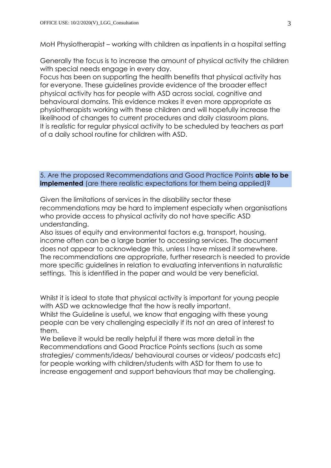MoH Physiotherapist – working with children as inpatients in a hospital setting

Generally the focus is to increase the amount of physical activity the children with special needs engage in every day.

Focus has been on supporting the health benefits that physical activity has for everyone. These guidelines provide evidence of the broader effect physical activity has for people with ASD across social, cognitive and behavioural domains. This evidence makes it even more appropriate as physiotherapists working with these children and will hopefully increase the likelihood of changes to current procedures and daily classroom plans. It is realistic for regular physical activity to be scheduled by teachers as part of a daily school routine for children with ASD.

### 5. Are the proposed Recommendations and Good Practice Points **able to be implemented** (are there realistic expectations for them being applied)?

Given the limitations of services in the disability sector these recommendations may be hard to implement especially when organisations who provide access to physical activity do not have specific ASD understanding.

Also issues of equity and environmental factors e.g. transport, housing, income often can be a large barrier to accessing services. The document does not appear to acknowledge this, unless I have missed it somewhere. The recommendations are appropriate, further research is needed to provide more specific guidelines in relation to evaluating interventions in naturalistic settings. This is identified in the paper and would be very beneficial.

Whilst it is ideal to state that physical activity is important for young people with ASD we acknowledge that the how is really important.

Whilst the Guideline is useful, we know that engaging with these young people can be very challenging especially if its not an area of interest to them.

We believe it would be really helpful if there was more detail in the Recommendations and Good Practice Points sections (such as some strategies/ comments/ideas/ behavioural courses or videos/ podcasts etc) for people working with children/students with ASD for them to use to increase engagement and support behaviours that may be challenging.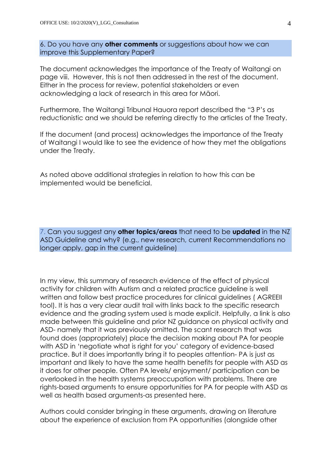6. Do you have any **other comments** or suggestions about how we can improve this Supplementary Paper?

The document acknowledges the importance of the Treaty of Waitangi on page viii. However, this is not then addressed in the rest of the document. Either in the process for review, potential stakeholders or even acknowledging a lack of research in this area for Māori.

Furthermore, The Waitangi Tribunal Hauora report described the "3 P's as reductionistic and we should be referring directly to the articles of the Treaty.

If the document (and process) acknowledges the importance of the Treaty of Waitangi I would like to see the evidence of how they met the obligations under the Treaty.

As noted above additional strategies in relation to how this can be implemented would be beneficial.

7. Can you suggest any **other topics/areas** that need to be **updated** in the NZ ASD Guideline and why? (e.g., new research, current Recommendations no longer apply, gap in the current guideline)

In my view, this summary of research evidence of the effect of physical activity for children with Autism and a related practice guideline is well written and follow best practice procedures for clinical guidelines ( AGREEII tool). It is has a very clear audit trail with links back to the specific research evidence and the grading system used is made explicit. Helpfully, a link is also made between this guideline and prior NZ guidance on physical activity and ASD- namely that it was previously omitted. The scant research that was found does (appropriately) place the decision making about PA for people with ASD in 'negotiate what is right for you' category of evidence-based practice. But it does importantly bring it to peoples attention- PA is just as important and likely to have the same health benefits for people with ASD as it does for other people. Often PA levels/ enjoyment/ participation can be overlooked in the health systems preoccupation with problems. There are rights-based arguments to ensure opportunities for PA for people with ASD as well as health based arguments-as presented here.

Authors could consider bringing in these arguments, drawing on literature about the experience of exclusion from PA opportunities (alongside other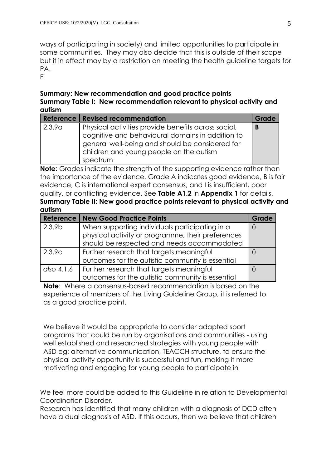ways of participating in society) and limited opportunities to participate in some communities. They may also decide that this is outside of their scope but it in effect may by a restriction on meeting the health guideline targets for PA.

Fi

## **Summary: New recommendation and good practice points Summary Table I: New recommendation relevant to physical activity and autism**

|        | Reference   Revised recommendation                                                                                                                                                                                | Grade |
|--------|-------------------------------------------------------------------------------------------------------------------------------------------------------------------------------------------------------------------|-------|
| 2.3.9a | Physical activities provide benefits across social,<br>cognitive and behavioural domains in addition to<br>general well-being and should be considered for<br>children and young people on the autism<br>spectrum | B     |

**Note**: Grades indicate the strength of the supporting evidence rather than the importance of the evidence. Grade A indicates good evidence, B is fair evidence, C is international expert consensus, and I is insufficient, poor quality, or conflicting evidence. See **Table A1.2** in **Appendix 1** for details. **Summary Table II: New good practice points relevant to physical activity and autism**

| Reference          | <b>New Good Practice Points</b>                   | Grade |
|--------------------|---------------------------------------------------|-------|
| 2.3.9 <sub>b</sub> | When supporting individuals participating in a    |       |
|                    | physical activity or programme, their preferences |       |
|                    | should be respected and needs accommodated        |       |
| 2.3.9c             | Further research that targets meaningful          |       |
|                    | outcomes for the autistic community is essential  |       |
| also 4.1.6         | Further research that targets meaningful          |       |
|                    | outcomes for the autistic community is essential  |       |

**Note**: Where a consensus-based recommendation is based on the experience of members of the Living Guideline Group, it is referred to as a good practice point.

We believe it would be appropriate to consider adapted sport programs that could be run by organisations and communities - using well established and researched strategies with young people with ASD eg: alternative communication, TEACCH structure, to ensure the physical activity opportunity is successful and fun, making it more motivating and engaging for young people to participate in

We feel more could be added to this Guideline in relation to Developmental Coordination Disorder.

Research has identified that many children with a diagnosis of DCD often have a dual diagnosis of ASD. If this occurs, then we believe that children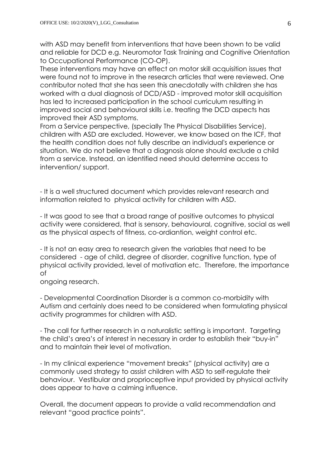with ASD may benefit from interventions that have been shown to be valid and reliable for DCD e.g. Neuromotor Task Training and Cognitive Orientation to Occupational Performance (CO-OP).

These interventions may have an effect on motor skill acquisition issues that were found not to improve in the research articles that were reviewed. One contributor noted that she has seen this anecdotally with children she has worked with a dual diagnosis of DCD/ASD - improved motor skill acquisition has led to increased participation in the school curriculum resulting in improved social and behavioural skills i.e. treating the DCD aspects has improved their ASD symptoms.

From a Service perspective, (specially The Physical Disabilities Service), children with ASD are excluded. However, we know based on the ICF, that the health condition does not fully describe an individual's experience or situation. We do not believe that a diagnosis alone should exclude a child from a service. Instead, an identified need should determine access to intervention/ support.

- It is a well structured document which provides relevant research and information related to physical activity for children with ASD.

- It was good to see that a broad range of positive outcomes to physical activity were considered, that is sensory, behavioural, cognitive, social as well as the physical aspects of fitness, co-ordiantion, weight control etc.

- It is not an easy area to research given the variables that need to be considered - age of child, degree of disorder, cognitive function, type of physical activity provided, level of motivation etc. Therefore, the importance of

ongoing research.

- Developmental Coordination Disorder is a common co-morbidity with Autism and certainly does need to be considered when formulating physical activity programmes for children with ASD.

- The call for further research in a naturalistic setting is important. Targeting the child's area's of interest in necessary in order to establish their "buy-in" and to maintain their level of motivation.

- In my clinical experience "movement breaks" (physical activity) are a commonly used strategy to assist children with ASD to self-regulate their behaviour. Vestibular and proprioceptive input provided by physical activity does appear to have a calming influence.

Overall, the document appears to provide a valid recommendation and relevant "good practice points".